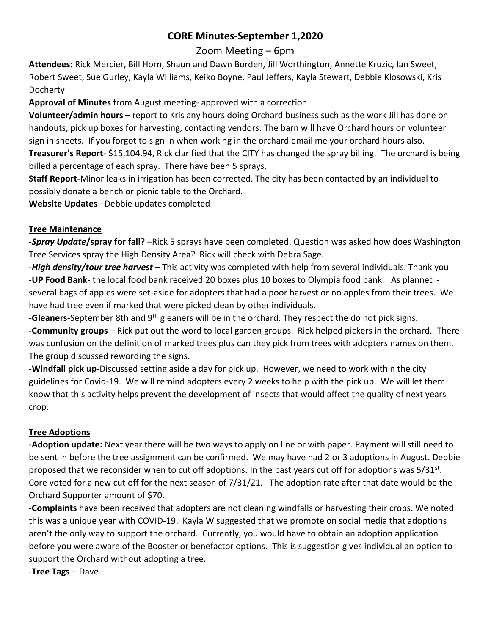# **CORE Minutes-September 1,2020**

## Zoom Meeting – 6pm

**Attendees:** Rick Mercier, Bill Horn, Shaun and Dawn Borden, Jill Worthington, Annette Kruzic, Ian Sweet, Robert Sweet, Sue Gurley, Kayla Williams, Keiko Boyne, Paul Jeffers, Kayla Stewart, Debbie Klosowski, Kris Docherty

**Approval of Minutes** from August meeting- approved with a correction

**Volunteer/admin hours** – report to Kris any hours doing Orchard business such as the work Jill has done on handouts, pick up boxes for harvesting, contacting vendors. The barn will have Orchard hours on volunteer sign in sheets. If you forgot to sign in when working in the orchard email me your orchard hours also. **Treasurer's Report**- \$15,104.94, Rick clarified that the CITY has changed the spray billing. The orchard is being

billed a percentage of each spray. There have been 5 sprays.

**Staff Report-**Minor leaks in irrigation has been corrected. The city has been contacted by an individual to possibly donate a bench or picnic table to the Orchard.

**Website Updates** –Debbie updates completed

## **Tree Maintenance**

*-Spray Update***/spray for fall**? –Rick 5 sprays have been completed. Question was asked how does Washington Tree Services spray the High Density Area? Rick will check with Debra Sage.

-*High density/tour tree harvest* – This activity was completed with help from several individuals. Thank you -**UP Food Bank**- the local food bank received 20 boxes plus 10 boxes to Olympia food bank. As planned several bags of apples were set-aside for adopters that had a poor harvest or no apples from their trees. We have had tree even if marked that were picked clean by other individuals.

**-Gleaners**-September 8th and 9th gleaners will be in the orchard. They respect the do not pick signs. **-Community groups** – Rick put out the word to local garden groups. Rick helped pickers in the orchard. There was confusion on the definition of marked trees plus can they pick from trees with adopters names on them. The group discussed rewording the signs.

-**Windfall pick up**-Discussed setting aside a day for pick up. However, we need to work within the city guidelines for Covid-19. We will remind adopters every 2 weeks to help with the pick up. We will let them know that this activity helps prevent the development of insects that would affect the quality of next years crop.

## **Tree Adoptions**

-**Adoption update:** Next year there will be two ways to apply on line or with paper. Payment will still need to be sent in before the tree assignment can be confirmed. We may have had 2 or 3 adoptions in August. Debbie proposed that we reconsider when to cut off adoptions. In the past years cut off for adoptions was 5/31st. Core voted for a new cut off for the next season of 7/31/21. The adoption rate after that date would be the Orchard Supporter amount of \$70.

-**Complaints** have been received that adopters are not cleaning windfalls or harvesting their crops. We noted this was a unique year with COVID-19. Kayla W suggested that we promote on social media that adoptions aren't the only way to support the orchard. Currently, you would have to obtain an adoption application before you were aware of the Booster or benefactor options. This is suggestion gives individual an option to support the Orchard without adopting a tree.

-**Tree Tags** – Dave